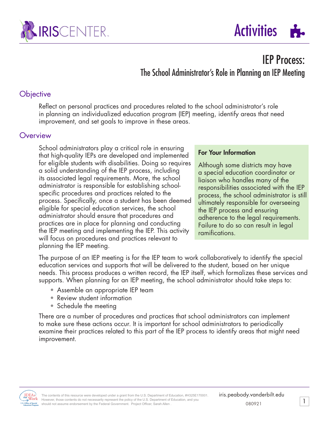



# IEP Process: The School Administrator's Role in Planning an IEP Meeting

### **Objective**

Reflect on personal practices and procedures related to the school administrator's role in planning an individualized education program (IEP) meeting, identify areas that need improvement, and set goals to improve in these areas.

### **Overview**

School administrators play a critical role in ensuring that high-quality IEPs are developed and implemented for eligible students with disabilities. Doing so requires a solid understanding of the IEP process, including its associated legal requirements. More, the school administrator is responsible for establishing schoolspecific procedures and practices related to the process. Specifically, once a student has been deemed eligible for special education services, the school administrator should ensure that procedures and practices are in place for planning and conducting the IEP meeting and implementing the IEP. This activity will focus on procedures and practices relevant to planning the IEP meeting.

#### For Your Information

Although some districts may have a special education coordinator or liaison who handles many of the responsibilities associated with the IEP process, the school administrator is still ultimately responsible for overseeing the IEP process and ensuring adherence to the legal requirements. Failure to do so can result in legal ramifications.

The purpose of an IEP meeting is for the IEP team to work collaboratively to identify the special education services and supports that will be delivered to the student, based on her unique needs. This process produces a written record, the IEP itself, which formalizes these services and supports. When planning for an IEP meeting, the school administrator should take steps to:

- Assemble an appropriate IEP team
- Review student information
- Schedule the meeting

There are a number of procedures and practices that school administrators can implement to make sure these actions occur. It is important for school administrators to periodically examine their practices related to this part of the IEP process to identify areas that might need improvement.



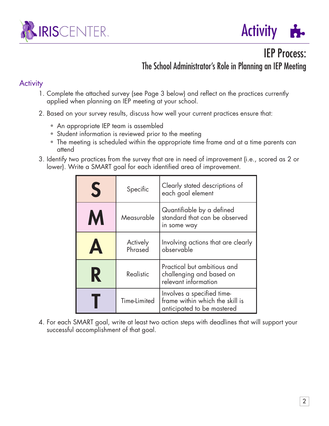



IEP Process:

The School Administrator's Role in Planning an IEP Meeting

## **Activity**

- 1. Complete the attached survey (see Page 3 below) and reflect on the practices currently applied when planning an IEP meeting at your school.
- 2. Based on your survey results, discuss how well your current practices ensure that:
	- An appropriate IEP team is assembled
	- Student information is reviewed prior to the meeting
	- The meeting is scheduled within the appropriate time frame and at a time parents can attend
- 3. Identify two practices from the survey that are in need of improvement (i.e., scored as 2 or lower). Write a SMART goal for each identified area of improvement.

| S                     | Specific            | Clearly stated descriptions of<br>each goal element                                         |  |  |  |  |
|-----------------------|---------------------|---------------------------------------------------------------------------------------------|--|--|--|--|
| M                     | Measurable          | Quantifiable by a defined<br>standard that can be observed<br>in some way                   |  |  |  |  |
| $\boldsymbol{\Delta}$ | Actively<br>Phrased | Involving actions that are clearly<br>observable                                            |  |  |  |  |
| R                     | Realistic           | Practical but ambitious and<br>challenging and based on<br>relevant information             |  |  |  |  |
|                       | Time-Limited        | Involves a specified time-<br>frame within which the skill is<br>anticipated to be mastered |  |  |  |  |

4. For each SMART goal, write at least two action steps with deadlines that will support your successful accomplishment of that goal.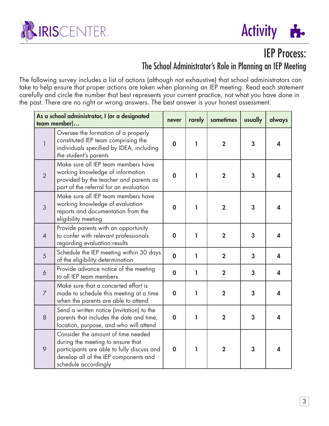



IEP Process:

# The School Administrator's Role in Planning an IEP Meeting

The following survey includes a list of actions (although not exhaustive) that school administrators can take to help ensure that proper actions are taken when planning an IEP meeting. Read each statement carefully and circle the number that best represents your current practice, not what you have done in the past. There are no right or wrong answers. The best answer is your honest assessment.

| As a school administrator, I (or a designated<br>team member) |                                                                                                                                                                                        | never            | rarely | sometimes      | usually | always           |
|---------------------------------------------------------------|----------------------------------------------------------------------------------------------------------------------------------------------------------------------------------------|------------------|--------|----------------|---------|------------------|
| $\mathbf{1}$                                                  | Oversee the formation of a properly<br>constituted IEP team comprising the<br>individuals specified by IDEA, including<br>the student's parents                                        | $\mathbf 0$      | L      | $\overline{2}$ | 3       | 4                |
| $\overline{2}$                                                | Make sure all IEP team members have<br>working knowledge of information<br>provided by the teacher and parents as<br>part of the referral for an evaluation                            | $\mathbf 0$      | ı      | $\overline{2}$ | 3       | 4                |
| 3                                                             | Make sure all IEP team members have<br>working knowledge of evaluation<br>reports and documentation from the<br>eligibility meeting                                                    | $\mathbf 0$      | ı      | $\overline{2}$ | 3       | 4                |
| $\overline{4}$                                                | Provide parents with an opportunity<br>to confer with relevant professionals<br>regarding evaluation results                                                                           | $\boldsymbol{0}$ | ı      | $\overline{2}$ | 3       | 4                |
| 5                                                             | Schedule the IEP meeting within 30 days<br>of the eligibility determination                                                                                                            | $\mathbf 0$      | L      | $\overline{2}$ | 3       | 4                |
| $\ddot{\circ}$                                                | Provide advance notice of the meeting<br>to all IEP team members                                                                                                                       | $\mathbf 0$      | 1      | $\mathbf 2$    | 3       | $\boldsymbol{4}$ |
| $\overline{7}$                                                | Make sure that a concerted effort is<br>made to schedule this meeting at a time<br>when the parents are able to attend                                                                 | $\boldsymbol{0}$ | ı      | $\overline{2}$ | 3       | 4                |
| 8                                                             | Send a written notice (invitation) to the<br>parents that includes the date and time,<br>location, purpose, and who will attend                                                        | $\boldsymbol{0}$ | 1      | $\overline{2}$ | 3       | 4                |
| $\circ$                                                       | Consider the amount of time needed<br>during the meeting to ensure that<br>participants are able to fully discuss and<br>develop all of the IEP components and<br>schedule accordingly | $\mathbf 0$      | ı      | $\overline{2}$ | 3       | 4                |